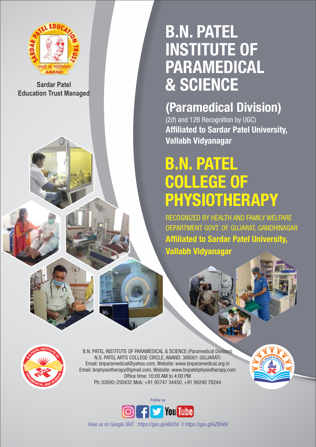

**Sardar Patel Education Trust Managed** 

# B.N. PATEL INSTITUTE OF PARAMEDICAL & SCIENCE

# (Paramedical Division)

(2(f) and 12B Recognition by UGC) Affiliated to Sardar Patel University, Vallabh Vidyanagar

# B.N. PATEL COLLEGE OF PHYSIOTHERAPY

RECOGNIZED BY HEALTH AND FAMILY WELFARE DEPARTMENT GOVT. OF. GUJARAT, GANDHINAGAR Affiliated to Sardar Patel University, Vallabh Vidyanagar



B.N. PATEL INSTITUTE OF PARAMEDICAL & SCIENCE (Paramedical Division) N.S. PATEL ARTS COLLEGE CIRCLE, ANAND. 388001 (GUJARAT) Email: bnparamedical@yahoo.com, Website: www.bnparamedical.org.in Email: bnphysiotherapy@gmail.com, Website: www.bnpatelphysiotherapy.com Office time: 10:00 AM to 4:00 PM Ph: 02692-250432 Mob: +91 95747 34450, +91 99240 78244





View us on Google 360°: https://goo.gl/e6lzOd || https://goo.gl/kZBHd9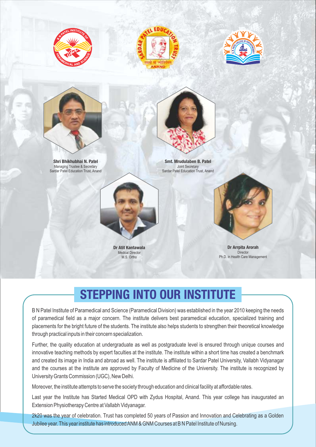







Shri Bhikhubhai N. Patel Managing Trustee & Secretary Sardar Patel Education Trust, Anand



Smt. Mrudulaben B. Patel Joint Secretary Sardar Patel Education Trust, Anand



Dr Atit Kantawala Medical Director M.S. Ortho



Dr Arrpita Arorah **Director** Ph.D. in Health Care Management

# STEPPING INTO OUR INSTITUTE

B N Patel Institute of Paramedical and Science (Paramedical Division) was established in the year 2010 keeping the needs of paramedical field as a major concern. The institute delivers best paramedical education, specialized training and placements for the bright future of the students. The institute also helps students to strengthen their theoretical knowledge through practical inputs in their concern specialization.

Further, the quality education at undergraduate as well as postgraduate level is ensured through unique courses and innovative teaching methods by expert faculties at the institute. The institute within a short time has created a benchmark and created its image in India and abroad as well. The institute is affiliated to Sardar Patel University, Vallabh Vidyanagar and the courses at the institute are approved by Faculty of Medicine of the University. The institute is recognized by University Grants Commission (UGC), New Delhi.

Moreover, the institute attempts to serve the society through education and clinical facility at affordable rates.

Last year the Institute has Started Medical OPD with Zydus Hospital, Anand. This year college has inaugurated an Extension Physiotherapy Centre at Vallabh Vidyanagar.

2k20 was the year of celebration. Trust has completed 50 years of Passion and Innovation and Celebrating as a Golden Jubilee year. This year institute has introduced ANM & GNM Courses at B N Patel Institute of Nursing.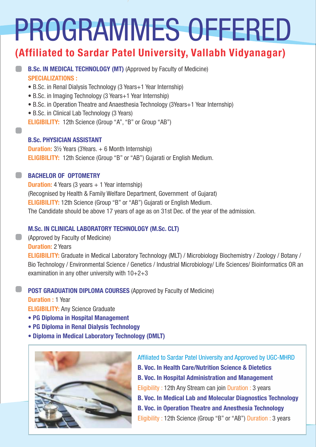# PROGRAMMES OFFERED

## (Affiliated to Sardar Patel University, Vallabh Vidyanagar)

#### B.Sc. IN MEDICAL TECHNOLOGY (MT) (Approved by Faculty of Medicine) SPECIALIZATIONS :

- B.Sc. in Renal Dialysis Technology (3 Years+1 Year Internship)
- B.Sc. in Imaging Technology (3 Years+1 Year Internship)
- B.Sc. in Operation Theatre and Anaesthesia Technology (3Years+1 Year Internship)
- B.Sc. in Clinical Lab Technology (3 Years)
- ELIGIBILITY: 12th Science (Group "A", "B" or Group "AB")

#### B.Sc. PHYSICIAN ASSISTANT

**Duration:**  $3\frac{1}{2}$  Years (3Years.  $+ 6$  Month Internship) ELIGIBILITY: 12th Science (Group "B" or "AB") Gujarati or English Medium.

#### BACHELOR OF OPTOMETRY

**Duration:** 4 Years (3 years  $+ 1$  Year internship) (Recognised by Health & Family Welfare Department, Government of Gujarat) ELIGIBILITY: 12th Science (Group "B" or "AB") Gujarati or English Medium. The Candidate should be above 17 years of age as on 31st Dec. of the year of the admission.

#### M.Sc. IN CLINICAL LABORATORY TECHNOLOGY (M.Sc. CLT)

(Approved by Faculty of Medicine) **Duration: 2 Years** ELIGIBILITY: Graduate in Medical Laboratory Technology (MLT) / Microbiology Biochemistry / Zoology / Botany / Bio Technology / Environmental Science / Genetics / Industrial Microbiology/ Life Sciences/ Bioinforrnatics OR an examination in any other university with 10+2+3

#### POST GRADUATION DIPLOMA COURSES (Approved by Faculty of Medicine)

#### **Duration : 1 Year**

**ELIGIBILITY: Any Science Graduate** 

- PG Diploma in Hospital Management
- PG Diploma in Renal Dialysis Technology
- Diploma in Medical Laboratory Technology (DMLT)



Affiliated to Sardar Patel University and Approved by UGC-MHRD B. Voc. In Health Care/Nutrition Science & Dietetics B. Voc. In Hospital Administration and Management Eligibility : 12th Any Stream can join Duration : 3 years B. Voc. In Medical Lab and Molecular Diagnostics Technology B. Voc. in Operation Theatre and Anesthesia Technology Eligibility : 12th Science (Group "B" or "AB") Duration : 3 years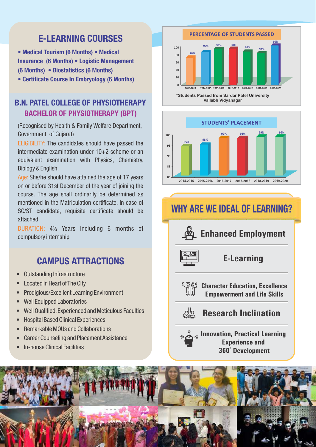## **F-I FARNING COURSES**

• Medical Tourism (6 Months) • Medical Insurance (6 Months) • Logistic Management (6 Months) • Biostatistics (6 Months)

• Certificate Course In Embryology (6 Months)

#### B.N. PATEL COLLEGE OF PHYSIOTHERAPY BACHELOR OF PHYSIOTHERAPY (BPT)

(Recognised by Health & Family Welfare Department, Government of Gujarat)

ELIGIBILITY: The candidates should have passed the intermediate examination under 10+2 scheme or an equivalent examination with Physics, Chemistry, Biology & English.

Age: She/he should have attained the age of 17 years on or before 31st December of the year of joining the course. The age shall ordinarily be determined as mentioned in the Matriculation certificate. In case of SC/ST candidate, requisite certificate should be attached.

DURATION: 4½ Years including 6 months of compulsory internship

### CAMPUS ATTRACTIONS

- Outstanding Infrastructure
- Located in Heart of The City
- Prodigious/Excellent Learning Environment
- Well Equipped Laboratories
- Well Qualified,Experienced and Meticulous Faculties
- Hospital Based Clinical Experiences
- Remarkable MOUs and Collaborations
- Career Counseling and Placement Assistance
- In-house Clinical Facilities



**Vallabh Vidyanagar**



# WHY ARE WE IDEAL OF LEARNING?



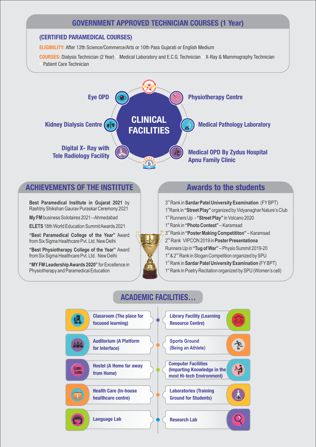#### GOVERNMENT APPROVED TECHNICIAN COURSES (1 Year)

#### (CERTIFIED PARAMEDICAL COURSES)

ELIGIBILITY: After 12th Science/Commerce/Arts or 10th Pass Gujarati or English Medium

COURSES: Dialysis Technician (2 Year) • Medical Laboratory and E.C.G. Technician • X-Ray & Mammography Technician Patient Care Technician



#### ACHIEVEMENTS OF THE INSTITUTE A THE Awards to the students

**Best Paramedical Institute in Gujarat 2021** by Rashtriy Shikshan Gaurav Puraskar Ceremony 2021

**My FM** business Solotaires 2021 – Ahmedabad

**ELETS** 18th World Education Summit Awards 2021

**"Best Paramedical College of the Year"** Award from Six Sigma Healthcare Pvt. Ltd. New Delhi

**"Best Physiotherapy College of the Year"** Award from Six Sigma Healthcare Pvt. Ltd. New Delhi

**"MYFM Leadership Awards 2020"** for Excellence in Physiotherapy and Paramedical Education

 $3<sup>rd</sup>$  Rank in **Sardar Patel University Examination** (FY BPT) 1<sup>st</sup> Rank in "Street Play" organized by Vidyanaghar Nature's Club 1<sup>st</sup> Runners Up - "Street Play" in Volcano 2020 1<sup>st</sup> Rank in "Photo Contest" – Karamsad  $3<sup>rd</sup>$  Rank in "Poster Making Competititon" – Karamsad  $2<sup>nd</sup>$  Rank VIPCON 2019 in **Poster Presentationa** Runners Up in **"Tug of War"** – Physio Summit 2019-20 1<sup>st</sup> & 2<sup>nd</sup> Rank in Slogan Competition organized by SPU 1<sup>st</sup> Rank in **Sardar Patel University Examination** (FY BPT) 1<sup>st</sup> Rank in Poetry Recitation organized by SPU (Women's cell)

#### ACADEMIC FACILITIES…